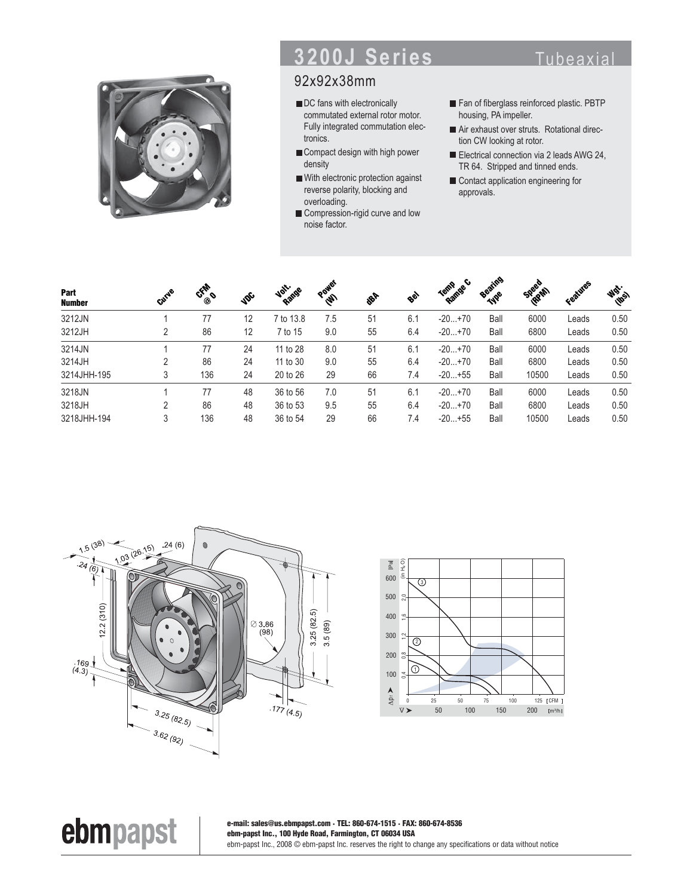

# **3200J Series** Tubeaxial

### 92x92x38mm

- DC fans with electronically commutated external rotor motor. Fully integrated commutation electronics.
- Compact design with high power density
- With electronic protection against reverse polarity, blocking and overloading.
- Compression-rigid curve and low noise factor.
- Fan of fiberglass reinforced plastic. PBTP housing, PA impeller.
- Air exhaust over struts. Rotational direction CW looking at rotor.
- Electrical connection via 2 leads AWG 24, TR 64. Stripped and tinned ends.
- Contact application engineering for approvals.

| Part<br><b>Number</b> | Gurye | CFAR O | <b>VDC</b> | Volt-inge | Power | <b>PRA</b> | Bey | Ramge C<br>Termp | Beating<br><b>TAPE</b> | Speed<br><b>RRAN</b> | Features | <b>Wat-</b> |
|-----------------------|-------|--------|------------|-----------|-------|------------|-----|------------------|------------------------|----------------------|----------|-------------|
| 3212JN                |       | 77     | 12         | 7 to 13.8 | 7.5   | 51         | 6.1 | $-20+70$         | Ball                   | 6000                 | Leads    | 0.50        |
| 3212JH                | 2     | 86     | 12         | 7 to 15   | 9.0   | 55         | 6.4 | $-20+70$         | Ball                   | 6800                 | Leads    | 0.50        |
| 3214JN                |       | 77     | 24         | 11 to 28  | 8.0   | 51         | 6.1 | $-20+70$         | Ball                   | 6000                 | Leads    | 0.50        |
| 3214JH                | 2     | 86     | 24         | 11 to 30  | 9.0   | 55         | 6.4 | $-20+70$         | Ball                   | 6800                 | Leads    | 0.50        |
| 3214JHH-195           | 3     | 136    | 24         | 20 to 26  | 29    | 66         | 7.4 | $-20+55$         | Ball                   | 10500                | Leads    | 0.50        |
| 3218JN                |       | 77     | 48         | 36 to 56  | 7.0   | 51         | 6.1 | $-20+70$         | Ball                   | 6000                 | Leads    | 0.50        |
| 3218JH                | 2     | 86     | 48         | 36 to 53  | 9.5   | 55         | 6.4 | $-20+70$         | Ball                   | 6800                 | Leads    | 0.50        |
| 3218JHH-194           | 3     | 136    | 48         | 36 to 54  | 29    | 66         | 7.4 | $-20+55$         | Ball                   | 10500                | Leads    | 0.50        |



ebmpapst



**e-mail: sales@us.ebmpapst.com · TEL: 860-674-1515 · FAX: 860-674-8536 ebm-papst Inc., 100 Hyde Road, Farmington, CT 06034 USA** ebm-papst Inc., 2008 © ebm-papst Inc. reserves the right to change any specifications or data without notice